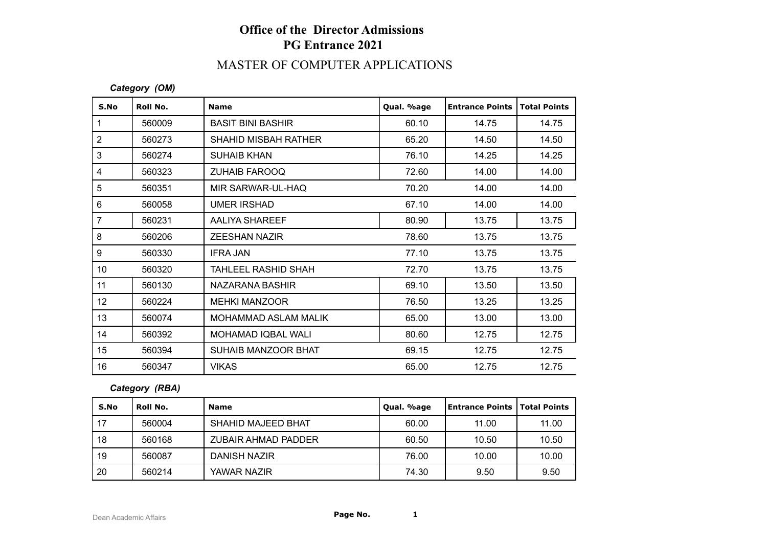# **Office of the Director Admissions PG Entrance 2021**

### MASTER OF COMPUTER APPLICATIONS

#### *Category (OM)*

| S.No           | Roll No. | <b>Name</b>                 | Qual. %age | <b>Entrance Points</b> | <b>Total Points</b> |
|----------------|----------|-----------------------------|------------|------------------------|---------------------|
| $\mathbf{1}$   | 560009   | <b>BASIT BINI BASHIR</b>    | 60.10      | 14.75                  | 14.75               |
| $\overline{2}$ | 560273   | <b>SHAHID MISBAH RATHER</b> | 65.20      | 14.50                  | 14.50               |
| 3              | 560274   | <b>SUHAIB KHAN</b>          | 76.10      | 14.25                  | 14.25               |
| 4              | 560323   | <b>ZUHAIB FAROOQ</b>        | 72.60      | 14.00                  | 14.00               |
| 5              | 560351   | MIR SARWAR-UL-HAQ           | 70.20      | 14.00                  | 14.00               |
| 6              | 560058   | <b>UMER IRSHAD</b>          | 67.10      | 14.00                  | 14.00               |
| $\overline{7}$ | 560231   | AALIYA SHAREEF              | 80.90      | 13.75                  | 13.75               |
| 8              | 560206   | <b>ZEESHAN NAZIR</b>        | 78.60      | 13.75                  | 13.75               |
| 9              | 560330   | <b>IFRA JAN</b>             | 77.10      | 13.75                  | 13.75               |
| 10             | 560320   | TAHLEEL RASHID SHAH         | 72.70      | 13.75                  | 13.75               |
| 11             | 560130   | NAZARANA BASHIR             | 69.10      | 13.50                  | 13.50               |
| 12             | 560224   | <b>MEHKI MANZOOR</b>        | 76.50      | 13.25                  | 13.25               |
| 13             | 560074   | MOHAMMAD ASLAM MALIK        | 65.00      | 13.00                  | 13.00               |
| 14             | 560392   | MOHAMAD IQBAL WALI          | 80.60      | 12.75                  | 12.75               |
| 15             | 560394   | SUHAIB MANZOOR BHAT         | 69.15      | 12.75                  | 12.75               |
| 16             | 560347   | <b>VIKAS</b>                | 65.00      | 12.75                  | 12.75               |

### *Category (RBA)*

| S.No | Roll No. | <b>Name</b>         | Qual. %age | <b>Entrance Points   Total Points</b> |       |
|------|----------|---------------------|------------|---------------------------------------|-------|
| -17  | 560004   | SHAHID MAJEED BHAT  | 60.00      | 11.00                                 | 11.00 |
| 18   | 560168   | ZUBAIR AHMAD PADDER | 60.50      | 10.50                                 | 10.50 |
| 19   | 560087   | DANISH NAZIR        | 76.00      | 10.00                                 | 10.00 |
| 20   | 560214   | YAWAR NAZIR         | 74.30      | 9.50                                  | 9.50  |